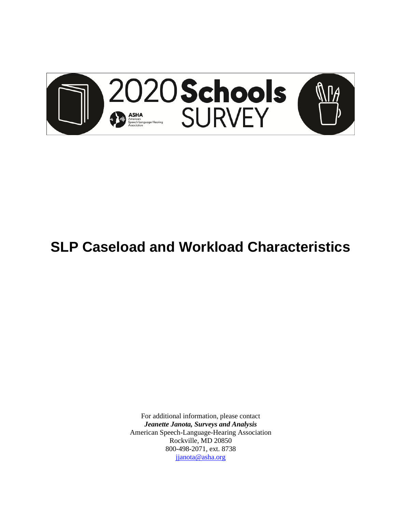

# **SLP Caseload and Workload Characteristics**

For additional information, please contact *Jeanette Janota, Surveys and Analysis* American Speech-Language-Hearing Association Rockville, MD 20850 800-498-2071, ext. 8738 [jjanota@asha.org](mailto:jjanota@asha.org)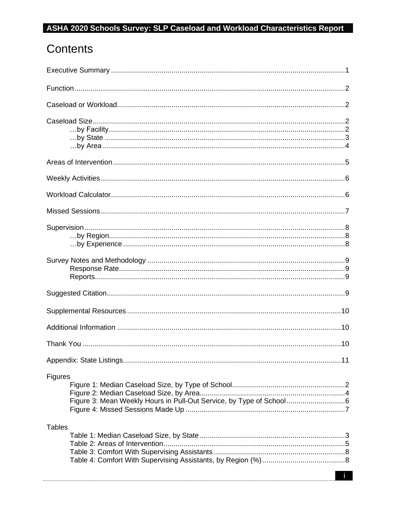# Contents

| Figures       |
|---------------|
| <b>Tables</b> |
|               |
|               |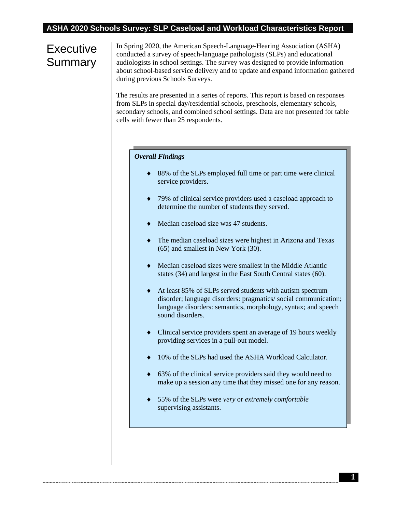# **Executive** Summary

In Spring 2020, the American Speech-Language-Hearing Association (ASHA) conducted a survey of speech-language pathologists (SLPs) and educational audiologists in school settings. The survey was designed to provide information about school-based service delivery and to update and expand information gathered during previous Schools Surveys.

The results are presented in a series of reports. This report is based on responses from SLPs in special day/residential schools, preschools, elementary schools, secondary schools, and combined school settings. Data are not presented for table cells with fewer than 25 respondents.

#### *Overall Findings*

- 88% of the SLPs employed full time or part time were clinical service providers.
- 79% of clinical service providers used a caseload approach to determine the number of students they served.
- ◆ Median caseload size was 47 students.
- The median caseload sizes were highest in Arizona and Texas (65) and smallest in New York (30).
- Median caseload sizes were smallest in the Middle Atlantic states (34) and largest in the East South Central states (60).
- At least 85% of SLPs served students with autism spectrum disorder; language disorders: pragmatics/ social communication; language disorders: semantics, morphology, syntax; and speech sound disorders.
- Clinical service providers spent an average of 19 hours weekly providing services in a pull-out model.
- ◆ 10% of the SLPs had used the ASHA Workload Calculator.
- 63% of the clinical service providers said they would need to make up a session any time that they missed one for any reason.
- 55% of the SLPs were *very* or *extremely comfortable* supervising assistants.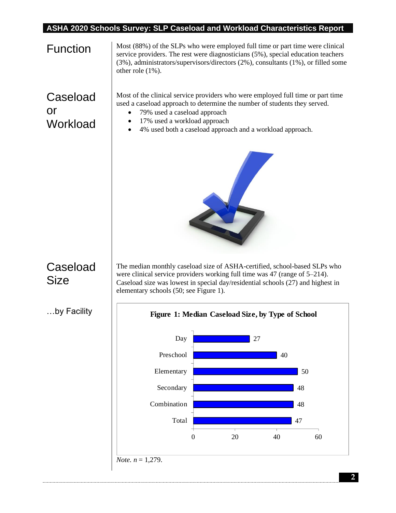| <b>Function</b>                   | Most (88%) of the SLPs who were employed full time or part time were clinical<br>service providers. The rest were diagnosticians (5%), special education teachers<br>(3%), administrators/supervisors/directors (2%), consultants (1%), or filled some<br>other role $(1\%)$ .                      |
|-----------------------------------|-----------------------------------------------------------------------------------------------------------------------------------------------------------------------------------------------------------------------------------------------------------------------------------------------------|
| Caseload<br><b>or</b><br>Workload | Most of the clinical service providers who were employed full time or part time<br>used a caseload approach to determine the number of students they served.<br>79% used a caseload approach<br>٠<br>17% used a workload approach<br>٠<br>4% used both a caseload approach and a workload approach. |
|                                   |                                                                                                                                                                                                                                                                                                     |
| Caseload<br><b>Size</b>           | The median monthly caseload size of ASHA-certified, school-based SLPs who<br>were clinical service providers working full time was 47 (range of 5–214).<br>Caseload size was lowest in special day/residential schools (27) and highest in<br>elementary schools (50; see Figure 1).                |
| …by Facility                      | Figure 1: Median Caseload Size, by Type of School                                                                                                                                                                                                                                                   |
|                                   | Day<br>27                                                                                                                                                                                                                                                                                           |
|                                   | Preschool<br>40                                                                                                                                                                                                                                                                                     |
|                                   | Elementary<br>50                                                                                                                                                                                                                                                                                    |
|                                   | Secondary<br>48                                                                                                                                                                                                                                                                                     |
|                                   | Combination<br>48                                                                                                                                                                                                                                                                                   |
|                                   | Total<br>47                                                                                                                                                                                                                                                                                         |
|                                   | 20<br>40<br>60<br>0                                                                                                                                                                                                                                                                                 |
|                                   | <i>Note.</i> $n = 1,279$ .                                                                                                                                                                                                                                                                          |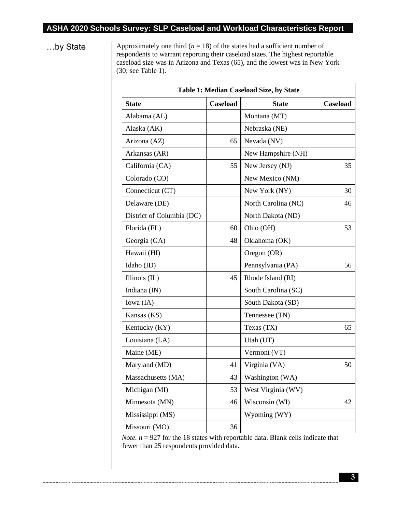$\mathsf{r}$ 

...by State Approximately one third  $(n = 18)$  of the states had a sufficient number of respondents to warrant reporting their caseload sizes. The highest reportable caseload size was in Arizona and Texas (65), and the lowest was in New York (30; see Table 1).

| Table 1: Median Caseload Size, by State |          |                     |                 |
|-----------------------------------------|----------|---------------------|-----------------|
| <b>State</b>                            | Caseload | <b>State</b>        | <b>Caseload</b> |
| Alabama (AL)                            |          | Montana (MT)        |                 |
| Alaska (AK)                             |          | Nebraska (NE)       |                 |
| Arizona (AZ)                            | 65       | Nevada (NV)         |                 |
| Arkansas (AR)                           |          | New Hampshire (NH)  |                 |
| California (CA)                         | 55       | New Jersey (NJ)     | 35              |
| Colorado (CO)                           |          | New Mexico (NM)     |                 |
| Connecticut (CT)                        |          | New York (NY)       | 30              |
| Delaware (DE)                           |          | North Carolina (NC) | 46              |
| District of Columbia (DC)               |          | North Dakota (ND)   |                 |
| Florida (FL)                            | 60       | Ohio (OH)           | 53              |
| Georgia (GA)                            | 48       | Oklahoma (OK)       |                 |
| Hawaii (HI)                             |          | Oregon (OR)         |                 |
| Idaho (ID)                              |          | Pennsylvania (PA)   | 56              |
| Illinois $(IL)$                         | 45       | Rhode Island (RI)   |                 |
| Indiana $(IN)$                          |          | South Carolina (SC) |                 |
| Iowa (IA)                               |          | South Dakota (SD)   |                 |
| Kansas (KS)                             |          | Tennessee (TN)      |                 |
| Kentucky (KY)                           |          | Texas (TX)          | 65              |
| Louisiana (LA)                          |          | Utah (UT)           |                 |
| Maine (ME)                              |          | Vermont (VT)        |                 |
| Maryland (MD)                           | 41       | Virginia (VA)       | 50              |
| Massachusetts (MA)                      | 43       | Washington (WA)     |                 |
| Michigan (MI)                           | 53       | West Virginia (WV)  |                 |
| Minnesota (MN)                          | 46       | Wisconsin (WI)      | 42              |
| Mississippi (MS)                        |          | Wyoming (WY)        |                 |
| Missouri (MO)                           | 36       |                     |                 |

*Note.*  $n = 927$  for the 18 states with reportable data. Blank cells indicate that fewer than 25 respondents provided data.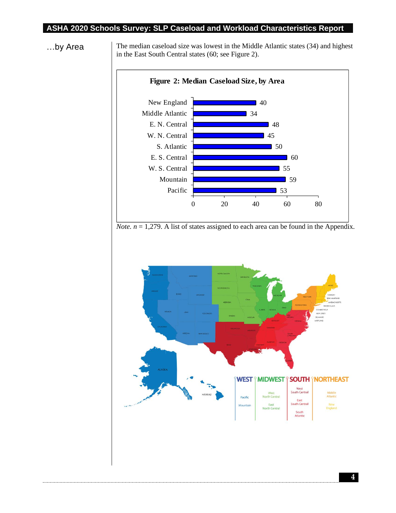

...by Area The median caseload size was lowest in the Middle Atlantic states (34) and highest in the East South Central states (60; see Figure 2).

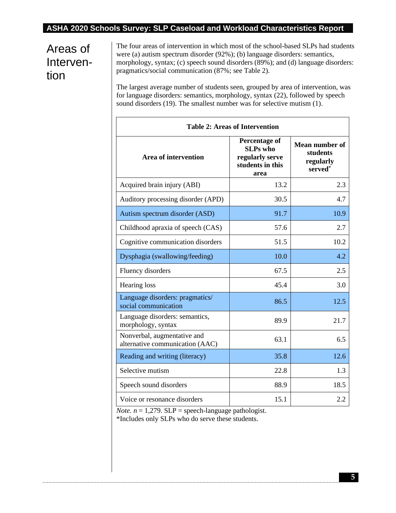# Areas of Intervention

The four areas of intervention in which most of the school-based SLPs had students were (a) autism spectrum disorder (92%); (b) language disorders: semantics, morphology, syntax; (c) speech sound disorders (89%); and (d) language disorders: pragmatics/social communication (87%; see Table 2).

The largest average number of students seen, grouped by area of intervention, was for language disorders: semantics, morphology, syntax (22), followed by speech sound disorders (19). The smallest number was for selective mutism (1).

| <b>Table 2: Areas of Intervention</b>                          |                                                                                 |                                                           |
|----------------------------------------------------------------|---------------------------------------------------------------------------------|-----------------------------------------------------------|
| <b>Area of intervention</b>                                    | Percentage of<br><b>SLPs</b> who<br>regularly serve<br>students in this<br>area | <b>Mean number of</b><br>students<br>regularly<br>served* |
| Acquired brain injury (ABI)                                    | 13.2                                                                            | 2.3                                                       |
| Auditory processing disorder (APD)                             | 30.5                                                                            | 4.7                                                       |
| Autism spectrum disorder (ASD)                                 | 91.7                                                                            | 10.9                                                      |
| Childhood apraxia of speech (CAS)                              | 57.6                                                                            | 2.7                                                       |
| Cognitive communication disorders                              | 51.5                                                                            | 10.2                                                      |
| Dysphagia (swallowing/feeding)                                 | 10.0                                                                            | 4.2                                                       |
| Fluency disorders                                              | 67.5                                                                            | 2.5                                                       |
| Hearing loss                                                   | 45.4                                                                            | 3.0                                                       |
| Language disorders: pragmatics/<br>social communication        | 86.5                                                                            | 12.5                                                      |
| Language disorders: semantics,<br>morphology, syntax           | 89.9                                                                            | 21.7                                                      |
| Nonverbal, augmentative and<br>alternative communication (AAC) | 63.1                                                                            | 6.5                                                       |
| Reading and writing (literacy)                                 | 35.8                                                                            | 12.6                                                      |
| Selective mutism                                               | 22.8                                                                            | 1.3                                                       |
| Speech sound disorders                                         | 88.9                                                                            | 18.5                                                      |
| Voice or resonance disorders                                   | 15.1                                                                            | 2.2                                                       |

*Note.*  $n = 1,279$ . SLP = speech-language pathologist.

\*Includes only SLPs who do serve these students.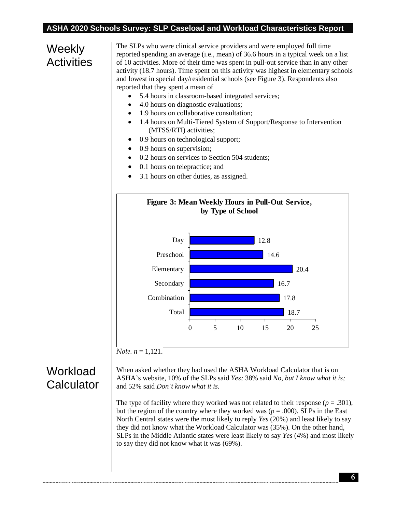# Weekly **Activities**

The SLPs who were clinical service providers and were employed full time reported spending an average (i.e., mean) of 36.6 hours in a typical week on a list of 10 activities. More of their time was spent in pull-out service than in any other activity (18.7 hours). Time spent on this activity was highest in elementary schools and lowest in special day/residential schools (see Figure 3). Respondents also reported that they spent a mean of

- 5.4 hours in classroom-based integrated services;
- 4.0 hours on diagnostic evaluations;
- 1.9 hours on collaborative consultation;
- 1.4 hours on Multi-Tiered System of Support/Response to Intervention (MTSS/RTI) activities;
- 0.9 hours on technological support;
- 0.9 hours on supervision;
- 0.2 hours on services to Section 504 students;
- 0.1 hours on telepractice; and
- 3.1 hours on other duties, as assigned.



*Note.*  $n = 1.121$ .

### **Workload Calculator**

When asked whether they had used the ASHA Workload Calculator that is on ASHA's website, 10% of the SLPs said *Yes;* 38% said *No, but I know what it is;* and 52% said *Don't know what it is.*

The type of facility where they worked was not related to their response  $(p = .301)$ , but the region of the country where they worked was ( $p = .000$ ). SLPs in the East North Central states were the most likely to reply *Yes* (20%) and least likely to say they did not know what the Workload Calculator was (35%). On the other hand, SLPs in the Middle Atlantic states were least likely to say *Yes* (4%) and most likely to say they did not know what it was (69%).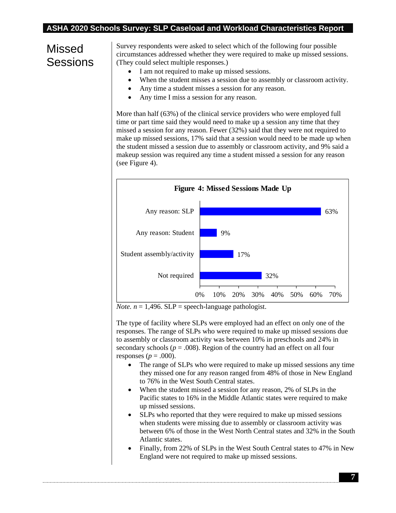## Missed **Sessions**

Survey respondents were asked to select which of the following four possible circumstances addressed whether they were required to make up missed sessions. (They could select multiple responses.)

- I am not required to make up missed sessions.
- When the student misses a session due to assembly or classroom activity.
- Any time a student misses a session for any reason.
- Any time I miss a session for any reason.

More than half (63%) of the clinical service providers who were employed full time or part time said they would need to make up a session any time that they missed a session for any reason. Fewer (32%) said that they were not required to make up missed sessions, 17% said that a session would need to be made up when the student missed a session due to assembly or classroom activity, and 9% said a makeup session was required any time a student missed a session for any reason (see Figure 4).



*Note.*  $n = 1,496$ . SLP = speech-language pathologist.

The type of facility where SLPs were employed had an effect on only one of the responses. The range of SLPs who were required to make up missed sessions due to assembly or classroom activity was between 10% in preschools and 24% in secondary schools ( $p = .008$ ). Region of the country had an effect on all four responses ( $p = .000$ ).

- The range of SLPs who were required to make up missed sessions any time they missed one for any reason ranged from 48% of those in New England to 76% in the West South Central states.
- When the student missed a session for any reason, 2% of SLPs in the Pacific states to 16% in the Middle Atlantic states were required to make up missed sessions.
- SLPs who reported that they were required to make up missed sessions when students were missing due to assembly or classroom activity was between 6% of those in the West North Central states and 32% in the South Atlantic states.
- Finally, from 22% of SLPs in the West South Central states to 47% in New England were not required to make up missed sessions.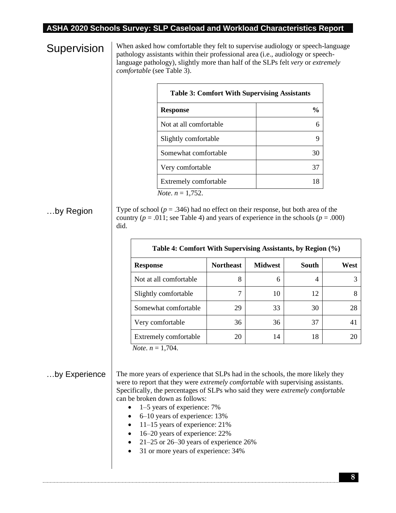# **Supervision**

When asked how comfortable they felt to supervise audiology or speech-language pathology assistants within their professional area (i.e., audiology or speechlanguage pathology), slightly more than half of the SLPs felt *very* or *extremely comfortable* (see Table 3).

| <b>Response</b>        | $\frac{0}{\alpha}$ |
|------------------------|--------------------|
| Not at all comfortable |                    |
| Slightly comfortable   |                    |
| Somewhat comfortable   | 30                 |
| Very comfortable       | 37                 |
| Extremely comfortable  | 18                 |

### …by Region

Type of school ( $p = .346$ ) had no effect on their response, but both area of the country ( $p = .011$ ; see Table 4) and years of experience in the schools ( $p = .000$ ) did.

| Table 4: Comfort With Supervising Assistants, by Region (%) |                  |                |                |      |
|-------------------------------------------------------------|------------------|----------------|----------------|------|
| <b>Response</b>                                             | <b>Northeast</b> | <b>Midwest</b> | South          | West |
| Not at all comfortable                                      | 8                | 6              | $\overline{4}$ |      |
| Slightly comfortable                                        |                  | 10             | 12             |      |
| Somewhat comfortable                                        | 29               | 33             | 30             | 28   |
| Very comfortable                                            | 36               | 36             | 37             | 41   |
| Extremely comfortable                                       | 20               | 14             | 18             | 20   |

 *Note*. *n* = 1,704.

#### …by Experience

The more years of experience that SLPs had in the schools, the more likely they were to report that they were *extremely comfortable* with supervising assistants. Specifically, the percentages of SLPs who said they were *extremely comfortable* can be broken down as follows:

- 1–5 years of experience: 7%
- 6–10 years of experience: 13%
- 11–15 years of experience: 21%
- 16–20 years of experience: 22%
- 21–25 or 26–30 years of experience 26%
- 31 or more years of experience: 34%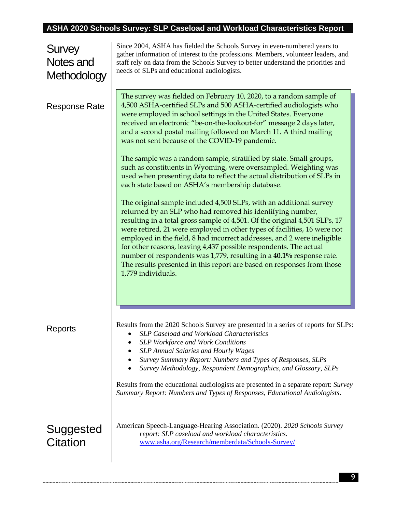| Survey<br>Notes and<br>Methodology | Since 2004, ASHA has fielded the Schools Survey in even-numbered years to<br>gather information of interest to the professions. Members, volunteer leaders, and<br>staff rely on data from the Schools Survey to better understand the priorities and<br>needs of SLPs and educational audiologists.                                                                                                                                                                                                                                                                                                                                                                                                                                                                                                                                                                                                                                                                                                                                                                                                                                                                                                                                                                                                    |
|------------------------------------|---------------------------------------------------------------------------------------------------------------------------------------------------------------------------------------------------------------------------------------------------------------------------------------------------------------------------------------------------------------------------------------------------------------------------------------------------------------------------------------------------------------------------------------------------------------------------------------------------------------------------------------------------------------------------------------------------------------------------------------------------------------------------------------------------------------------------------------------------------------------------------------------------------------------------------------------------------------------------------------------------------------------------------------------------------------------------------------------------------------------------------------------------------------------------------------------------------------------------------------------------------------------------------------------------------|
| <b>Response Rate</b>               | The survey was fielded on February 10, 2020, to a random sample of<br>4,500 ASHA-certified SLPs and 500 ASHA-certified audiologists who<br>were employed in school settings in the United States. Everyone<br>received an electronic "be-on-the-lookout-for" message 2 days later,<br>and a second postal mailing followed on March 11. A third mailing<br>was not sent because of the COVID-19 pandemic.<br>The sample was a random sample, stratified by state. Small groups,<br>such as constituents in Wyoming, were oversampled. Weighting was<br>used when presenting data to reflect the actual distribution of SLPs in<br>each state based on ASHA's membership database.<br>The original sample included 4,500 SLPs, with an additional survey<br>returned by an SLP who had removed his identifying number,<br>resulting in a total gross sample of 4,501. Of the original 4,501 SLPs, 17<br>were retired, 21 were employed in other types of facilities, 16 were not<br>employed in the field, 8 had incorrect addresses, and 2 were ineligible<br>for other reasons, leaving 4,437 possible respondents. The actual<br>number of respondents was 1,779, resulting in a 40.1% response rate.<br>The results presented in this report are based on responses from those<br>1,779 individuals. |
| Reports                            | Results from the 2020 Schools Survey are presented in a series of reports for SLPs:<br>SLP Caseload and Workload Characteristics<br><b>SLP Workforce and Work Conditions</b><br><b>SLP</b> Annual Salaries and Hourly Wages<br>Survey Summary Report: Numbers and Types of Responses, SLPs<br>Survey Methodology, Respondent Demographics, and Glossary, SLPs<br>Results from the educational audiologists are presented in a separate report: Survey<br>Summary Report: Numbers and Types of Responses, Educational Audiologists.                                                                                                                                                                                                                                                                                                                                                                                                                                                                                                                                                                                                                                                                                                                                                                      |
| Suggested<br><b>Citation</b>       | American Speech-Language-Hearing Association. (2020). 2020 Schools Survey<br>report: SLP caseload and workload characteristics.<br>www.asha.org/Research/memberdata/Schools-Survey/                                                                                                                                                                                                                                                                                                                                                                                                                                                                                                                                                                                                                                                                                                                                                                                                                                                                                                                                                                                                                                                                                                                     |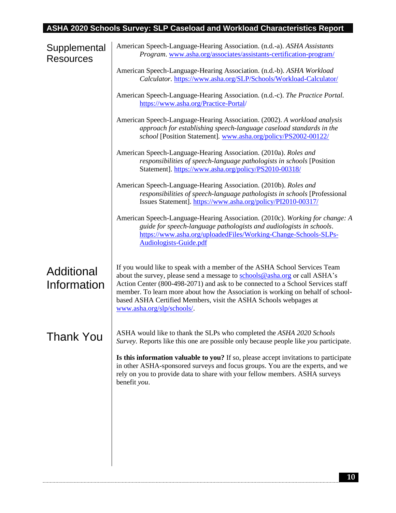| Supplemental<br><b>Resources</b> | American Speech-Language-Hearing Association. (n.d.-a). ASHA Assistants<br>Program. www.asha.org/associates/assistants-certification-program/                                                                                                                                                                                                                                                                                   |
|----------------------------------|---------------------------------------------------------------------------------------------------------------------------------------------------------------------------------------------------------------------------------------------------------------------------------------------------------------------------------------------------------------------------------------------------------------------------------|
|                                  | American Speech-Language-Hearing Association. (n.d.-b). ASHA Workload<br>Calculator. https://www.asha.org/SLP/Schools/Workload-Calculator/                                                                                                                                                                                                                                                                                      |
|                                  | American Speech-Language-Hearing Association. (n.d.-c). The Practice Portal.<br>https://www.asha.org/Practice-Portal/                                                                                                                                                                                                                                                                                                           |
|                                  | American Speech-Language-Hearing Association. (2002). A workload analysis<br>approach for establishing speech-language caseload standards in the<br>school [Position Statement]. www.asha.org/policy/PS2002-00122/                                                                                                                                                                                                              |
|                                  | American Speech-Language-Hearing Association. (2010a). Roles and<br>responsibilities of speech-language pathologists in schools [Position<br>Statement]. https://www.asha.org/policy/PS2010-00318/                                                                                                                                                                                                                              |
|                                  | American Speech-Language-Hearing Association. (2010b). Roles and<br>responsibilities of speech-language pathologists in schools [Professional<br>Issues Statement]. https://www.asha.org/policy/PI2010-00317/                                                                                                                                                                                                                   |
|                                  | American Speech-Language-Hearing Association. (2010c). Working for change: A<br>guide for speech-language pathologists and audiologists in schools.<br>https://www.asha.org/uploadedFiles/Working-Change-Schools-SLPs-<br><b>Audiologists-Guide.pdf</b>                                                                                                                                                                         |
| Additional<br>Information        | If you would like to speak with a member of the ASHA School Services Team<br>about the survey, please send a message to schools@asha.org or call ASHA's<br>Action Center (800-498-2071) and ask to be connected to a School Services staff<br>member. To learn more about how the Association is working on behalf of school-<br>based ASHA Certified Members, visit the ASHA Schools webpages at<br>www.asha.org/slp/schools/. |
| Thank You                        | ASHA would like to thank the SLPs who completed the ASHA 2020 Schools<br>Survey. Reports like this one are possible only because people like you participate.                                                                                                                                                                                                                                                                   |
|                                  | <b>Is this information valuable to you?</b> If so, please accept invitations to participate<br>in other ASHA-sponsored surveys and focus groups. You are the experts, and we<br>rely on you to provide data to share with your fellow members. ASHA surveys<br>benefit you.                                                                                                                                                     |
|                                  |                                                                                                                                                                                                                                                                                                                                                                                                                                 |
|                                  |                                                                                                                                                                                                                                                                                                                                                                                                                                 |
|                                  |                                                                                                                                                                                                                                                                                                                                                                                                                                 |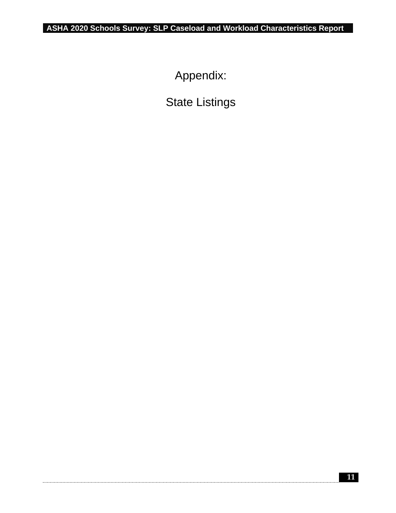Appendix:

State Listings